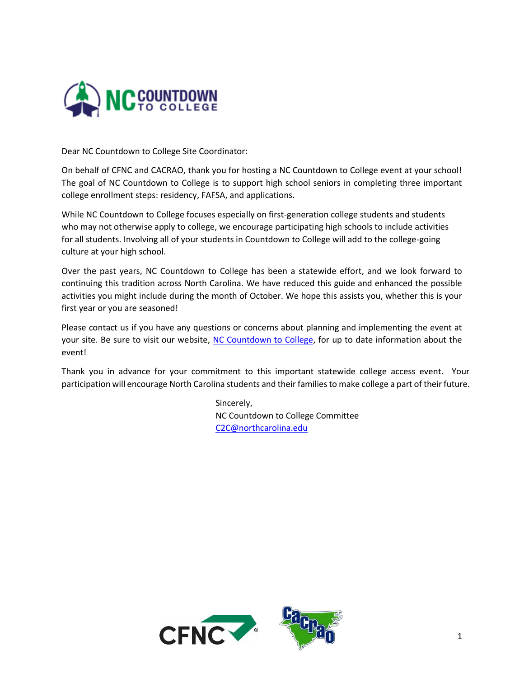

Dear NC Countdown to College Site Coordinator:

On behalf of CFNC and CACRAO, thank you for hosting a NC Countdown to College event at your school! The goal of NC Countdown to College is to support high school seniors in completing three important college enrollment steps: residency, FAFSA, and applications.

While NC Countdown to College focuses especially on first-generation college students and students who may not otherwise apply to college, we encourage participating high schools to include activities for all students. Involving all of your students in Countdown to College will add to the college-going culture at your high school.

Over the past years, NC Countdown to College has been a statewide effort, and we look forward to continuing this tradition across North Carolina. We have reduced this guide and enhanced the possible activities you might include during the month of October. We hope this assists you, whether this is your first year or you are seasoned!

Please contact us if you have any questions or concerns about planning and implementing the event at your site. Be sure to visit our website, [NC Countdown to College,](http://www.cfnc.org/C2C) for up to date information about the event!

Thank you in advance for your commitment to this important statewide college access event. Your participation will encourage North Carolina students and their families to make college a part of their future.

> Sincerely, NC Countdown to College Committee [C2C@northcarolina.edu](mailto:C2C@northcarolina.edu)

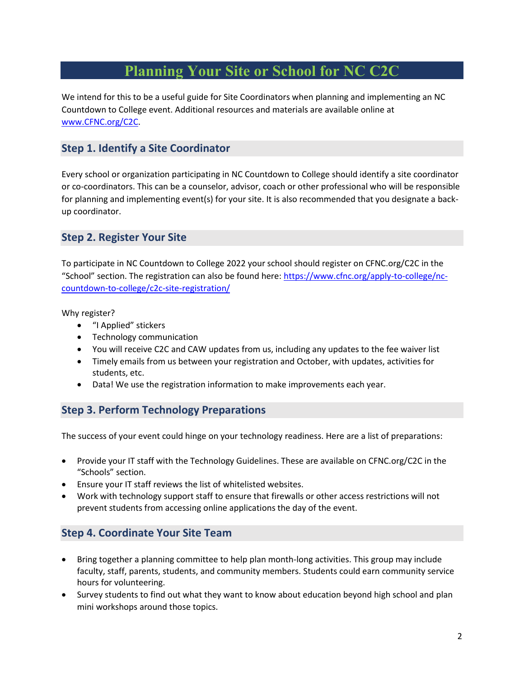# **Planning Your Site or School for NC C2C**

We intend for this to be a useful guide for Site Coordinators when planning and implementing an NC Countdown to College event. Additional resources and materials are available online at [www.CFNC.org/](http://www.cfnc.org/)C2C.

## **Step 1. Identify a Site Coordinator**

Every school or organization participating in NC Countdown to College should identify a site coordinator or co-coordinators. This can be a counselor, advisor, coach or other professional who will be responsible for planning and implementing event(s) for your site. It is also recommended that you designate a backup coordinator.

### **Step 2. Register Your Site**

To participate in NC Countdown to College 2022 your school should register on CFNC.org/C2C in the "School" section. The registration can also be found here[: https://www.cfnc.org/apply-to-college/nc](https://www.cfnc.org/apply-to-college/nc-countdown-to-college/c2c-site-registration/)[countdown-to-college/c2c-site-registration/](https://www.cfnc.org/apply-to-college/nc-countdown-to-college/c2c-site-registration/)

Why register?

- "I Applied" stickers
- Technology communication
- You will receive C2C and CAW updates from us, including any updates to the fee waiver list
- Timely emails from us between your registration and October, with updates, activities for students, etc.
- Data! We use the registration information to make improvements each year.

### **Step 3. Perform Technology Preparations**

The success of your event could hinge on your technology readiness. Here are a list of preparations:

- Provide your IT staff with the Technology Guidelines. These are available on CFNC.org/C2C in the "Schools" section.
- Ensure your IT staff reviews the list of whitelisted websites.
- Work with technology support staff to ensure that firewalls or other access restrictions will not prevent students from accessing online applications the day of the event.

# **Step 4. Coordinate Your Site Team**

- Bring together a planning committee to help plan month-long activities. This group may include faculty, staff, parents, students, and community members. Students could earn community service hours for volunteering.
- Survey students to find out what they want to know about education beyond high school and plan mini workshops around those topics.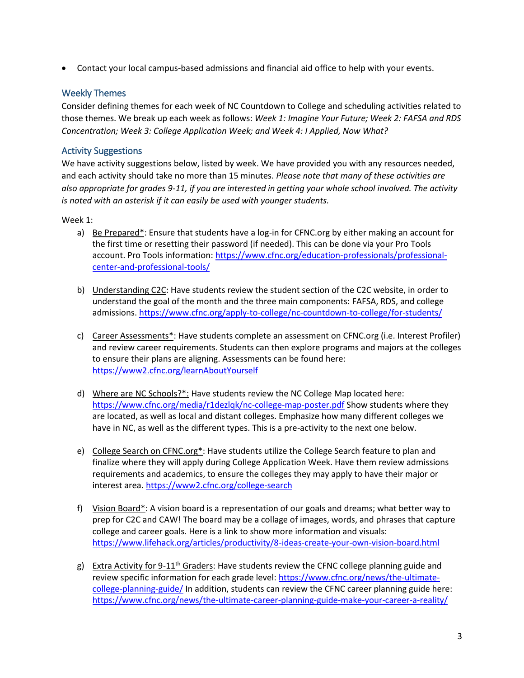• Contact your local campus-based admissions and financial aid office to help with your events.

#### Weekly Themes

Consider defining themes for each week of NC Countdown to College and scheduling activities related to those themes. We break up each week as follows: *Week 1: Imagine Your Future; Week 2: FAFSA and RDS Concentration; Week 3: College Application Week; and Week 4: I Applied, Now What?*

#### Activity Suggestions

We have activity suggestions below, listed by week. We have provided you with any resources needed, and each activity should take no more than 15 minutes. *Please note that many of these activities are also appropriate for grades 9-11, if you are interested in getting your whole school involved. The activity is noted with an asterisk if it can easily be used with younger students.*

#### Week 1:

- a) Be Prepared\*: Ensure that students have a log-in for CFNC.org by either making an account for the first time or resetting their password (if needed). This can be done via your Pro Tools account. Pro Tools information[: https://www.cfnc.org/education-professionals/professional](https://www.cfnc.org/education-professionals/professional-center-and-professional-tools/)[center-and-professional-tools/](https://www.cfnc.org/education-professionals/professional-center-and-professional-tools/)
- b) Understanding C2C: Have students review the student section of the C2C website, in order to understand the goal of the month and the three main components: FAFSA, RDS, and college admissions[. https://www.cfnc.org/apply-to-college/nc-countdown-to-college/for-students/](https://www.cfnc.org/apply-to-college/nc-countdown-to-college/for-students/)
- c) Career Assessments\*: Have students complete an assessment on CFNC.org (i.e. Interest Profiler) and review career requirements. Students can then explore programs and majors at the colleges to ensure their plans are aligning. Assessments can be found here: <https://www2.cfnc.org/learnAboutYourself>
- d) Where are NC Schools?\*: Have students review the NC College Map located here: <https://www.cfnc.org/media/r1dezlqk/nc-college-map-poster.pdf> Show students where they are located, as well as local and distant colleges. Emphasize how many different colleges we have in NC, as well as the different types. This is a pre-activity to the next one below.
- e) College Search on CFNC.org<sup>\*</sup>: Have students utilize the College Search feature to plan and finalize where they will apply during College Application Week. Have them review admissions requirements and academics, to ensure the colleges they may apply to have their major or interest area[. https://www2.cfnc.org/college-search](https://www2.cfnc.org/college-search)
- f) <u>Vision Board\*</u>: A vision board is a representation of our goals and dreams; what better way to prep for C2C and CAW! The board may be a collage of images, words, and phrases that capture college and career goals. Here is a link to show more information and visuals: <https://www.lifehack.org/articles/productivity/8-ideas-create-your-own-vision-board.html>
- g) Extra Activity for 9-11<sup>th</sup> Graders: Have students review the CFNC college planning guide and review specific information for each grade level[: https://www.cfnc.org/news/the-ultimate](https://www.cfnc.org/news/the-ultimate-college-planning-guide/)[college-planning-guide/](https://www.cfnc.org/news/the-ultimate-college-planning-guide/) In addition, students can review the CFNC career planning guide here: <https://www.cfnc.org/news/the-ultimate-career-planning-guide-make-your-career-a-reality/>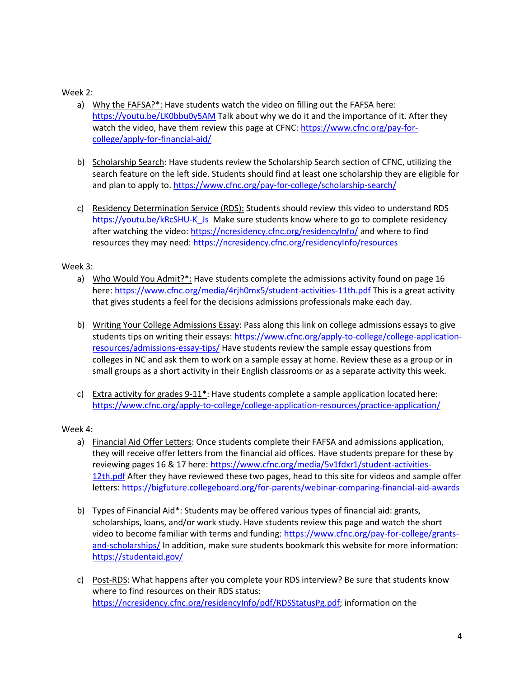#### Week 2:

- a) Why the FAFSA?\*: Have students watch the video on filling out the FAFSA here: <https://youtu.be/LK0bbu0y5AM> Talk about why we do it and the importance of it. After they watch the video, have them review this page at CFNC: [https://www.cfnc.org/pay-for](https://www.cfnc.org/pay-for-college/apply-for-financial-aid/)[college/apply-for-financial-aid/](https://www.cfnc.org/pay-for-college/apply-for-financial-aid/)
- b) Scholarship Search: Have students review the Scholarship Search section of CFNC, utilizing the search feature on the left side. Students should find at least one scholarship they are eligible for and plan to apply to[. https://www.cfnc.org/pay-for-college/scholarship-search/](https://www.cfnc.org/pay-for-college/scholarship-search/)
- c) Residency Determination Service (RDS): Students should review this video to understand RDS [https://youtu.be/kRcSHU-K\\_Js](https://youtu.be/kRcSHU-K_Js) Make sure students know where to go to complete residency after watching the video[: https://ncresidency.cfnc.org/residencyInfo/](https://ncresidency.cfnc.org/residencyInfo/) and where to find resources they may need:<https://ncresidency.cfnc.org/residencyInfo/resources>

#### Week 3:

- a) Who Would You Admit?\*: Have students complete the admissions activity found on page 16 here:<https://www.cfnc.org/media/4rjh0mx5/student-activities-11th.pdf> This is a great activity that gives students a feel for the decisions admissions professionals make each day.
- b) Writing Your College Admissions Essay: Pass along this link on college admissions essays to give students tips on writing their essays: [https://www.cfnc.org/apply-to-college/college-application](https://www.cfnc.org/apply-to-college/college-application-resources/admissions-essay-tips/)[resources/admissions-essay-tips/](https://www.cfnc.org/apply-to-college/college-application-resources/admissions-essay-tips/) Have students review the sample essay questions from colleges in NC and ask them to work on a sample essay at home. Review these as a group or in small groups as a short activity in their English classrooms or as a separate activity this week.
- c) Extra activity for grades 9-11<sup>\*</sup>: Have students complete a sample application located here: <https://www.cfnc.org/apply-to-college/college-application-resources/practice-application/>

#### Week 4:

- a) Financial Aid Offer Letters: Once students complete their FAFSA and admissions application, they will receive offer letters from the financial aid offices. Have students prepare for these by reviewing pages 16 & 17 here: [https://www.cfnc.org/media/5v1fdxr1/student-activities-](https://www.cfnc.org/media/5v1fdxr1/student-activities-12th.pdf)[12th.pdf](https://www.cfnc.org/media/5v1fdxr1/student-activities-12th.pdf) After they have reviewed these two pages, head to this site for videos and sample offer letters[: https://bigfuture.collegeboard.org/for-parents/webinar-comparing-financial-aid-awards](https://bigfuture.collegeboard.org/for-parents/webinar-comparing-financial-aid-awards)
- b) Types of Financial Aid\*: Students may be offered various types of financial aid: grants, scholarships, loans, and/or work study. Have students review this page and watch the short video to become familiar with terms and funding: [https://www.cfnc.org/pay-for-college/grants](https://www.cfnc.org/pay-for-college/grants-and-scholarships/)[and-scholarships/](https://www.cfnc.org/pay-for-college/grants-and-scholarships/) In addition, make sure students bookmark this website for more information: <https://studentaid.gov/>
- c) Post-RDS: What happens after you complete your RDS interview? Be sure that students know where to find resources on their RDS status: [https://ncresidency.cfnc.org/residencyInfo/pdf/RDSStatusPg.pdf;](https://ncresidency.cfnc.org/residencyInfo/pdf/RDSStatusPg.pdf) information on the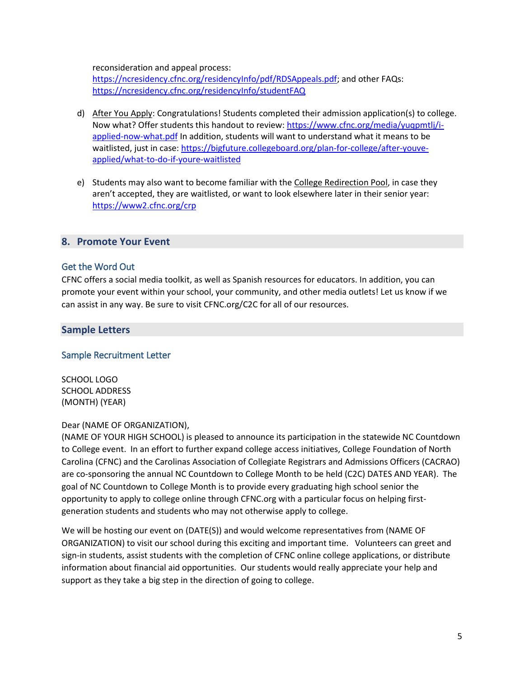reconsideration and appeal process:

[https://ncresidency.cfnc.org/residencyInfo/pdf/RDSAppeals.pdf;](https://ncresidency.cfnc.org/residencyInfo/pdf/RDSAppeals.pdf) and other FAQs: <https://ncresidency.cfnc.org/residencyInfo/studentFAQ>

- d) After You Apply: Congratulations! Students completed their admission application(s) to college. Now what? Offer students this handout to review: [https://www.cfnc.org/media/yuqpmtlj/i](https://www.cfnc.org/media/yuqpmtlj/i-applied-now-what.pdf)[applied-now-what.pdf](https://www.cfnc.org/media/yuqpmtlj/i-applied-now-what.pdf) In addition, students will want to understand what it means to be waitlisted, just in case[: https://bigfuture.collegeboard.org/plan-for-college/after-youve](https://bigfuture.collegeboard.org/plan-for-college/after-youve-applied/what-to-do-if-youre-waitlisted)[applied/what-to-do-if-youre-waitlisted](https://bigfuture.collegeboard.org/plan-for-college/after-youve-applied/what-to-do-if-youre-waitlisted)
- e) Students may also want to become familiar with the College Redirection Pool, in case they aren't accepted, they are waitlisted, or want to look elsewhere later in their senior year: <https://www2.cfnc.org/crp>

#### **8. Promote Your Event**

#### Get the Word Out

CFNC offers a social media toolkit, as well as Spanish resources for educators. In addition, you can promote your event within your school, your community, and other media outlets! Let us know if we can assist in any way. Be sure to visit CFNC.org/C2C for all of our resources.

#### **Sample Letters**

#### Sample Recruitment Letter

SCHOOL LOGO SCHOOL ADDRESS (MONTH) (YEAR)

#### Dear (NAME OF ORGANIZATION),

(NAME OF YOUR HIGH SCHOOL) is pleased to announce its participation in the statewide NC Countdown to College event. In an effort to further expand college access initiatives, College Foundation of North Carolina (CFNC) and the Carolinas Association of Collegiate Registrars and Admissions Officers (CACRAO) are co-sponsoring the annual NC Countdown to College Month to be held (C2C) DATES AND YEAR). The goal of NC Countdown to College Month is to provide every graduating high school senior the opportunity to apply to college online through CFNC.org with a particular focus on helping firstgeneration students and students who may not otherwise apply to college.

We will be hosting our event on (DATE(S)) and would welcome representatives from (NAME OF ORGANIZATION) to visit our school during this exciting and important time. Volunteers can greet and sign-in students, assist students with the completion of CFNC online college applications, or distribute information about financial aid opportunities. Our students would really appreciate your help and support as they take a big step in the direction of going to college.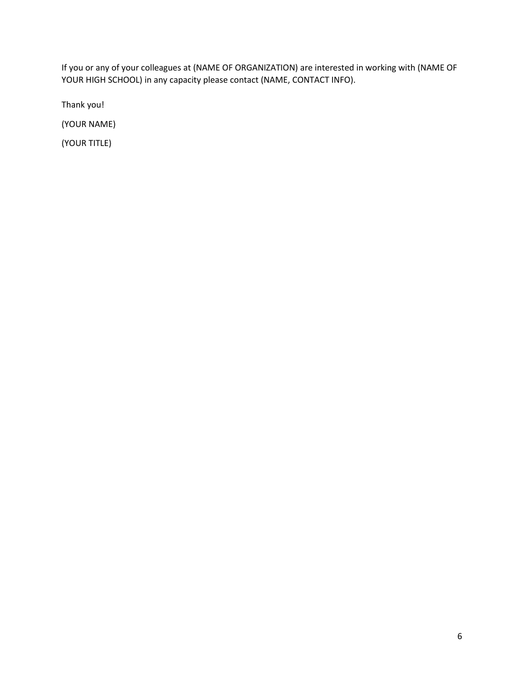If you or any of your colleagues at (NAME OF ORGANIZATION) are interested in working with (NAME OF YOUR HIGH SCHOOL) in any capacity please contact (NAME, CONTACT INFO).

Thank you!

(YOUR NAME)

(YOUR TITLE)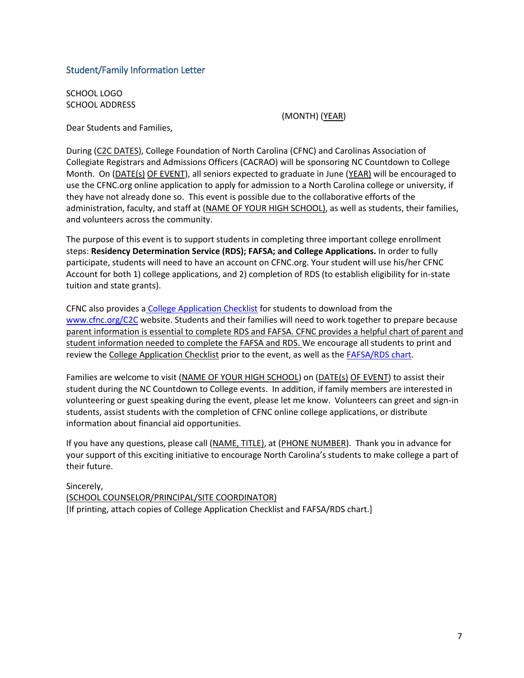#### Student/Family Information Letter

SCHOOL LOGO SCHOOL ADDRESS

(MONTH) (YEAR)

Dear Students and Families,

During (C2C DATES), College Foundation of North Carolina (CFNC) and Carolinas Association of Collegiate Registrars and Admissions Officers (CACRAO) will be sponsoring NC Countdown to College Month. On (DATE(s) OF EVENT), all seniors expected to graduate in June (YEAR) will be encouraged to use the CFNC.org online application to apply for admission to a North Carolina college or university, if they have not already done so. This event is possible due to the collaborative efforts of the administration, faculty, and staff at (NAME OF YOUR HIGH SCHOOL), as well as students, their families, and volunteers across the community.

The purpose of this event is to support students in completing three important college enrollment steps: **Residency Determination Service (RDS); FAFSA; and College Applications.** In order to fully participate, students will need to have an account on CFNC.org. Your student will use his/her CFNC Account for both 1) college applications, and 2) completion of RDS (to establish eligibility for in-state tuition and state grants).

CFNC also provides a [College Application Checklist](https://www.cfnc.org/media/spdnrtmk/2021-cfnc-college-admission-checklist.pdf) for students to download from the [www.cfnc.org/C2C](http://www.cfnc.org/C2C) website. Students and their families will need to work together to prepare because parent information is essential to complete RDS and FAFSA. CFNC provides a helpful chart of parent and student information needed to complete the FAFSA and RDS. We encourage all students to print and review th[e College Application Checklist](https://nccountdowntocollege.org/wp-content/uploads/2018/08/countdown-to-college-application-checklist-2018-0718.pdf) prior to the event, as well as the [FAFSA/RDS chart.](https://ncresidency.cfnc.org/residencyInfo/pdf/FAFSAandRDS.pdf)

Families are welcome to visit (NAME OF YOUR HIGH SCHOOL) on (DATE(s) OF EVENT) to assist their student during the NC Countdown to College events. In addition, if family members are interested in volunteering or guest speaking during the event, please let me know. Volunteers can greet and sign-in students, assist students with the completion of CFNC online college applications, or distribute information about financial aid opportunities.

If you have any questions, please call (NAME, TITLE), at (PHONE NUMBER). Thank you in advance for your support of this exciting initiative to encourage North Carolina's students to make college a part of their future.

Sincerely, (SCHOOL COUNSELOR/PRINCIPAL/SITE COORDINATOR) [If printing, attach copies of College Application Checklist and FAFSA/RDS chart.]